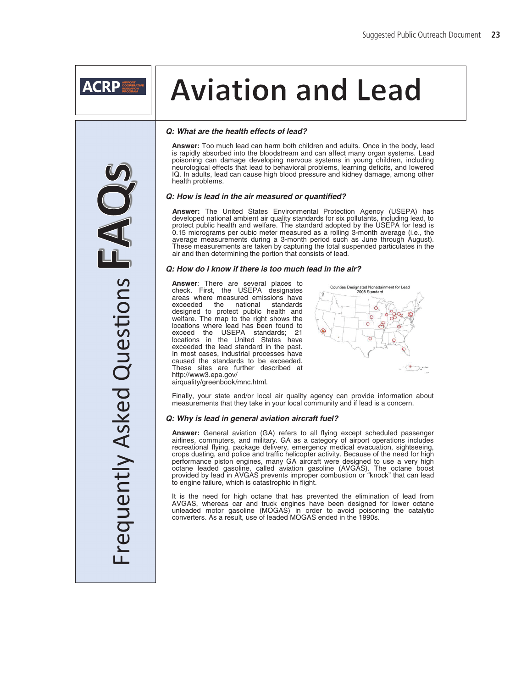

# **Aviation and Lead**

## *Q: What are the health effects of lead?*

**Answer:** Too much lead can harm both children and adults. Once in the body, lead is rapidly absorbed into the bloodstream and can affect many organ systems. Lead poisoning can damage developing nervous systems in young children, including neurological effects that lead to behavioral problems, learning deficits, and lowered IQ. In adults, lead can cause high blood pressure and kidney damage, among other health problems.

## *Q: How is lead in the air measured or quantified?*

**Answer:** The United States Environmental Protection Agency (USEPA) has developed national ambient air quality standards for six pollutants, including lead, to protect public health and welfare. The standard adopted by the USEPA for lead is 0.15 micrograms per cubic meter measured as a rolling 3-month average (i.e., the average measurements during <sup>a</sup> 3-month period such as June through August). These measurements are taken by capturing the total suspended particulates in the These measurements are taken by capturing the total suspended particulates in the air and then determining the portion that consists of lead.

## *Q: How do I know if there is too much lead in the air?*

**Answer**: There are several places to check. First, the USEPA designates areas where measured emissions have exceeded the national standards designed to protect public health and welfare. The map to the right shows the locations where lead has been found to exceed the USEPA standards; 21 locations in the United States have exceeded the lead standard in the past. In most cases, industrial processes have caused the standards to be exceeded. These sites are further described at http://www3.epa.gov/ airquality/greenbook/mnc.html.



Finally, your state and/or local air quality agency can provide information about measurements that they take in your local community and if lead is a concern.

# *Q: Why is lead in general aviation aircraft fuel?*

**Answer:** General aviation (GA) refers to all flying except scheduled passenger airlines, commuters, and military. GA as a category of airport operations includes recreational flying, package delivery, emergency medical evacuation, sightseeing, crops dusting, and police and traffic helicopter activity. Because of the need for high performance piston engines, many GA aircraft were designed to use a very high<br>octane leaded gasoline, called aviation gasoline (AVGAS). The octane boost provided by lead in AVGAS prevents improper combustion of "knock" that can lead<br>provided by lead in AVGAS prevents improper combustion or "knock" that can lead to engine failure, which is catastrophic in flight.

It is the need for high octane that has prevented the elimination of lead from AVGAS, whereas car and truck engines have been designed for lower octane unleaded motor gasoline (MOGAS) in order to avoid poisoning the catalytic converters. As a result, use of leaded MOGAS ended in the 1990s.

Freq uently Ask ed Q uestions